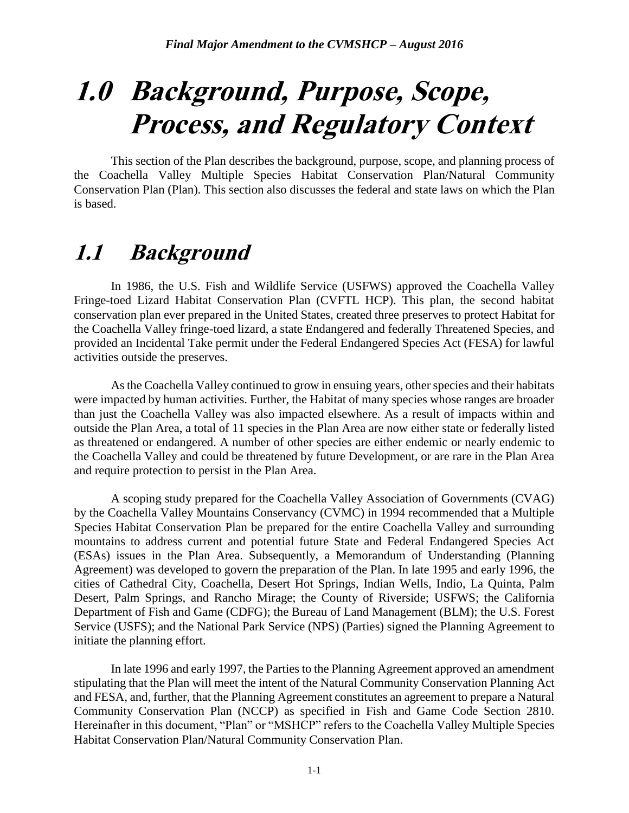# **1.0 Background, Purpose, Scope, Process, and Regulatory Context**

This section of the Plan describes the background, purpose, scope, and planning process of the Coachella Valley Multiple Species Habitat Conservation Plan/Natural Community Conservation Plan (Plan). This section also discusses the federal and state laws on which the Plan is based.

## **1.1 Background**

In 1986, the U.S. Fish and Wildlife Service (USFWS) approved the Coachella Valley Fringe-toed Lizard Habitat Conservation Plan (CVFTL HCP). This plan, the second habitat conservation plan ever prepared in the United States, created three preserves to protect Habitat for the Coachella Valley fringe-toed lizard, a state Endangered and federally Threatened Species, and provided an Incidental Take permit under the Federal Endangered Species Act (FESA) for lawful activities outside the preserves.

As the Coachella Valley continued to grow in ensuing years, other species and their habitats were impacted by human activities. Further, the Habitat of many species whose ranges are broader than just the Coachella Valley was also impacted elsewhere. As a result of impacts within and outside the Plan Area, a total of 11 species in the Plan Area are now either state or federally listed as threatened or endangered. A number of other species are either endemic or nearly endemic to the Coachella Valley and could be threatened by future Development, or are rare in the Plan Area and require protection to persist in the Plan Area.

A scoping study prepared for the Coachella Valley Association of Governments (CVAG) by the Coachella Valley Mountains Conservancy (CVMC) in 1994 recommended that a Multiple Species Habitat Conservation Plan be prepared for the entire Coachella Valley and surrounding mountains to address current and potential future State and Federal Endangered Species Act (ESAs) issues in the Plan Area. Subsequently, a Memorandum of Understanding (Planning Agreement) was developed to govern the preparation of the Plan. In late 1995 and early 1996, the cities of Cathedral City, Coachella, Desert Hot Springs, Indian Wells, Indio, La Quinta, Palm Desert, Palm Springs, and Rancho Mirage; the County of Riverside; USFWS; the California Department of Fish and Game (CDFG); the Bureau of Land Management (BLM); the U.S. Forest Service (USFS); and the National Park Service (NPS) (Parties) signed the Planning Agreement to initiate the planning effort.

In late 1996 and early 1997, the Parties to the Planning Agreement approved an amendment stipulating that the Plan will meet the intent of the Natural Community Conservation Planning Act and FESA, and, further, that the Planning Agreement constitutes an agreement to prepare a Natural Community Conservation Plan (NCCP) as specified in Fish and Game Code Section 2810. Hereinafter in this document, "Plan" or "MSHCP" refers to the Coachella Valley Multiple Species Habitat Conservation Plan/Natural Community Conservation Plan.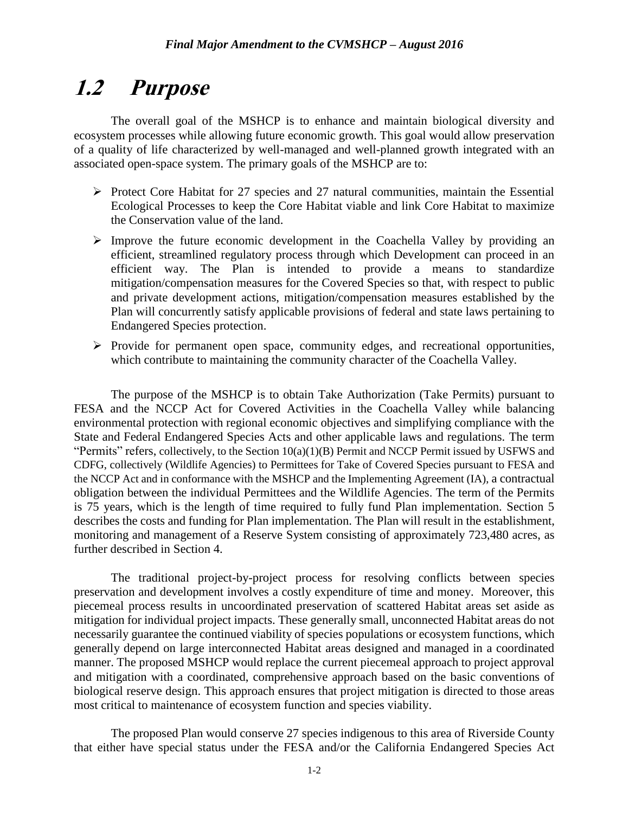## **1.2 Purpose**

The overall goal of the MSHCP is to enhance and maintain biological diversity and ecosystem processes while allowing future economic growth. This goal would allow preservation of a quality of life characterized by well-managed and well-planned growth integrated with an associated open-space system. The primary goals of the MSHCP are to:

- $\triangleright$  Protect Core Habitat for 27 species and 27 natural communities, maintain the Essential Ecological Processes to keep the Core Habitat viable and link Core Habitat to maximize the Conservation value of the land.
- $\triangleright$  Improve the future economic development in the Coachella Valley by providing an efficient, streamlined regulatory process through which Development can proceed in an efficient way. The Plan is intended to provide a means to standardize mitigation/compensation measures for the Covered Species so that, with respect to public and private development actions, mitigation/compensation measures established by the Plan will concurrently satisfy applicable provisions of federal and state laws pertaining to Endangered Species protection.
- $\triangleright$  Provide for permanent open space, community edges, and recreational opportunities, which contribute to maintaining the community character of the Coachella Valley.

The purpose of the MSHCP is to obtain Take Authorization (Take Permits) pursuant to FESA and the NCCP Act for Covered Activities in the Coachella Valley while balancing environmental protection with regional economic objectives and simplifying compliance with the State and Federal Endangered Species Acts and other applicable laws and regulations. The term "Permits" refers, collectively, to the Section 10(a)(1)(B) Permit and NCCP Permit issued by USFWS and CDFG, collectively (Wildlife Agencies) to Permittees for Take of Covered Species pursuant to FESA and the NCCP Act and in conformance with the MSHCP and the Implementing Agreement (IA), a contractual obligation between the individual Permittees and the Wildlife Agencies. The term of the Permits is 75 years, which is the length of time required to fully fund Plan implementation. Section 5 describes the costs and funding for Plan implementation. The Plan will result in the establishment, monitoring and management of a Reserve System consisting of approximately 723,480 acres, as further described in Section 4.

The traditional project-by-project process for resolving conflicts between species preservation and development involves a costly expenditure of time and money. Moreover, this piecemeal process results in uncoordinated preservation of scattered Habitat areas set aside as mitigation for individual project impacts. These generally small, unconnected Habitat areas do not necessarily guarantee the continued viability of species populations or ecosystem functions, which generally depend on large interconnected Habitat areas designed and managed in a coordinated manner. The proposed MSHCP would replace the current piecemeal approach to project approval and mitigation with a coordinated, comprehensive approach based on the basic conventions of biological reserve design. This approach ensures that project mitigation is directed to those areas most critical to maintenance of ecosystem function and species viability.

The proposed Plan would conserve 27 species indigenous to this area of Riverside County that either have special status under the FESA and/or the California Endangered Species Act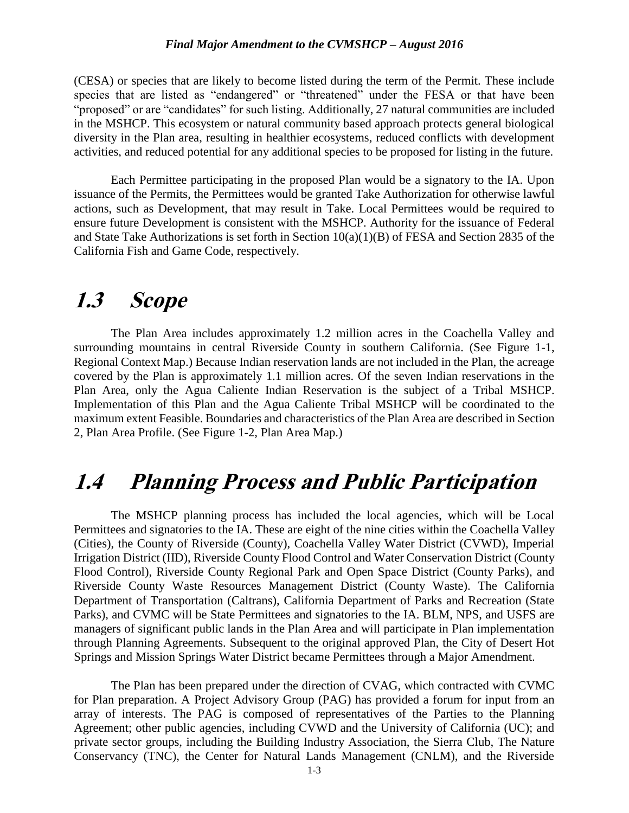#### *Final Major Amendment to the CVMSHCP – August 2016*

(CESA) or species that are likely to become listed during the term of the Permit. These include species that are listed as "endangered" or "threatened" under the FESA or that have been "proposed" or are "candidates" for such listing. Additionally, 27 natural communities are included in the MSHCP. This ecosystem or natural community based approach protects general biological diversity in the Plan area, resulting in healthier ecosystems, reduced conflicts with development activities, and reduced potential for any additional species to be proposed for listing in the future.

Each Permittee participating in the proposed Plan would be a signatory to the IA. Upon issuance of the Permits, the Permittees would be granted Take Authorization for otherwise lawful actions, such as Development, that may result in Take. Local Permittees would be required to ensure future Development is consistent with the MSHCP. Authority for the issuance of Federal and State Take Authorizations is set forth in Section 10(a)(1)(B) of FESA and Section 2835 of the California Fish and Game Code, respectively.

## **1.3 Scope**

The Plan Area includes approximately 1.2 million acres in the Coachella Valley and surrounding mountains in central Riverside County in southern California. (See Figure 1-1, Regional Context Map.) Because Indian reservation lands are not included in the Plan, the acreage covered by the Plan is approximately 1.1 million acres. Of the seven Indian reservations in the Plan Area, only the Agua Caliente Indian Reservation is the subject of a Tribal MSHCP. Implementation of this Plan and the Agua Caliente Tribal MSHCP will be coordinated to the maximum extent Feasible. Boundaries and characteristics of the Plan Area are described in Section 2, Plan Area Profile. (See Figure 1-2, Plan Area Map.)

## **1.4 Planning Process and Public Participation**

The MSHCP planning process has included the local agencies, which will be Local Permittees and signatories to the IA. These are eight of the nine cities within the Coachella Valley (Cities), the County of Riverside (County), Coachella Valley Water District (CVWD), Imperial Irrigation District (IID), Riverside County Flood Control and Water Conservation District (County Flood Control), Riverside County Regional Park and Open Space District (County Parks), and Riverside County Waste Resources Management District (County Waste). The California Department of Transportation (Caltrans), California Department of Parks and Recreation (State Parks), and CVMC will be State Permittees and signatories to the IA. BLM, NPS, and USFS are managers of significant public lands in the Plan Area and will participate in Plan implementation through Planning Agreements. Subsequent to the original approved Plan, the City of Desert Hot Springs and Mission Springs Water District became Permittees through a Major Amendment.

The Plan has been prepared under the direction of CVAG, which contracted with CVMC for Plan preparation. A Project Advisory Group (PAG) has provided a forum for input from an array of interests. The PAG is composed of representatives of the Parties to the Planning Agreement; other public agencies, including CVWD and the University of California (UC); and private sector groups, including the Building Industry Association, the Sierra Club, The Nature Conservancy (TNC), the Center for Natural Lands Management (CNLM), and the Riverside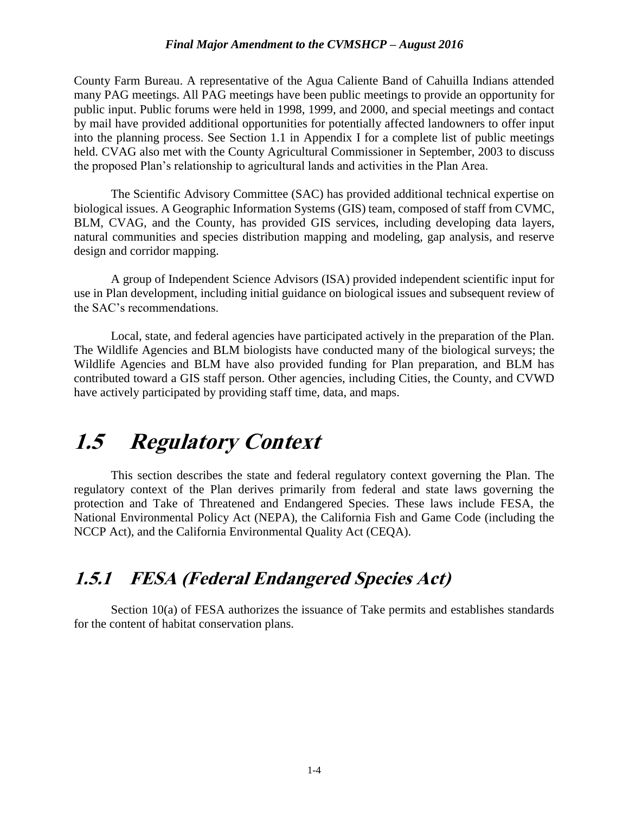#### *Final Major Amendment to the CVMSHCP – August 2016*

County Farm Bureau. A representative of the Agua Caliente Band of Cahuilla Indians attended many PAG meetings. All PAG meetings have been public meetings to provide an opportunity for public input. Public forums were held in 1998, 1999, and 2000, and special meetings and contact by mail have provided additional opportunities for potentially affected landowners to offer input into the planning process. See Section 1.1 in Appendix I for a complete list of public meetings held. CVAG also met with the County Agricultural Commissioner in September, 2003 to discuss the proposed Plan's relationship to agricultural lands and activities in the Plan Area.

The Scientific Advisory Committee (SAC) has provided additional technical expertise on biological issues. A Geographic Information Systems (GIS) team, composed of staff from CVMC, BLM, CVAG, and the County, has provided GIS services, including developing data layers, natural communities and species distribution mapping and modeling, gap analysis, and reserve design and corridor mapping.

A group of Independent Science Advisors (ISA) provided independent scientific input for use in Plan development, including initial guidance on biological issues and subsequent review of the SAC's recommendations.

Local, state, and federal agencies have participated actively in the preparation of the Plan. The Wildlife Agencies and BLM biologists have conducted many of the biological surveys; the Wildlife Agencies and BLM have also provided funding for Plan preparation, and BLM has contributed toward a GIS staff person. Other agencies, including Cities, the County, and CVWD have actively participated by providing staff time, data, and maps.

## **1.5 Regulatory Context**

This section describes the state and federal regulatory context governing the Plan. The regulatory context of the Plan derives primarily from federal and state laws governing the protection and Take of Threatened and Endangered Species. These laws include FESA, the National Environmental Policy Act (NEPA), the California Fish and Game Code (including the NCCP Act), and the California Environmental Quality Act (CEQA).

### **1.5.1 FESA (Federal Endangered Species Act)**

Section 10(a) of FESA authorizes the issuance of Take permits and establishes standards for the content of habitat conservation plans.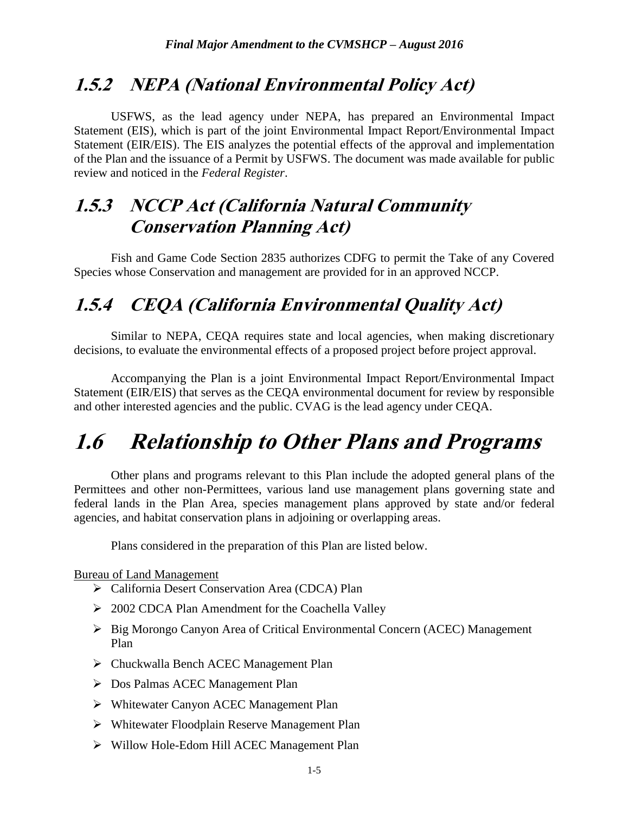### **1.5.2 NEPA (National Environmental Policy Act)**

USFWS, as the lead agency under NEPA, has prepared an Environmental Impact Statement (EIS), which is part of the joint Environmental Impact Report/Environmental Impact Statement (EIR/EIS). The EIS analyzes the potential effects of the approval and implementation of the Plan and the issuance of a Permit by USFWS. The document was made available for public review and noticed in the *Federal Register*.

### **1.5.3 NCCP Act (California Natural Community Conservation Planning Act)**

Fish and Game Code Section 2835 authorizes CDFG to permit the Take of any Covered Species whose Conservation and management are provided for in an approved NCCP.

### **1.5.4 CEQA (California Environmental Quality Act)**

Similar to NEPA, CEQA requires state and local agencies, when making discretionary decisions, to evaluate the environmental effects of a proposed project before project approval.

Accompanying the Plan is a joint Environmental Impact Report/Environmental Impact Statement (EIR/EIS) that serves as the CEQA environmental document for review by responsible and other interested agencies and the public. CVAG is the lead agency under CEQA.

## **1.6 Relationship to Other Plans and Programs**

Other plans and programs relevant to this Plan include the adopted general plans of the Permittees and other non-Permittees, various land use management plans governing state and federal lands in the Plan Area, species management plans approved by state and/or federal agencies, and habitat conservation plans in adjoining or overlapping areas.

Plans considered in the preparation of this Plan are listed below.

Bureau of Land Management

- ▶ California Desert Conservation Area (CDCA) Plan
- > 2002 CDCA Plan Amendment for the Coachella Valley
- ▶ Big Morongo Canyon Area of Critical Environmental Concern (ACEC) Management Plan
- Chuckwalla Bench ACEC Management Plan
- Dos Palmas ACEC Management Plan
- Whitewater Canyon ACEC Management Plan
- Whitewater Floodplain Reserve Management Plan
- Willow Hole-Edom Hill ACEC Management Plan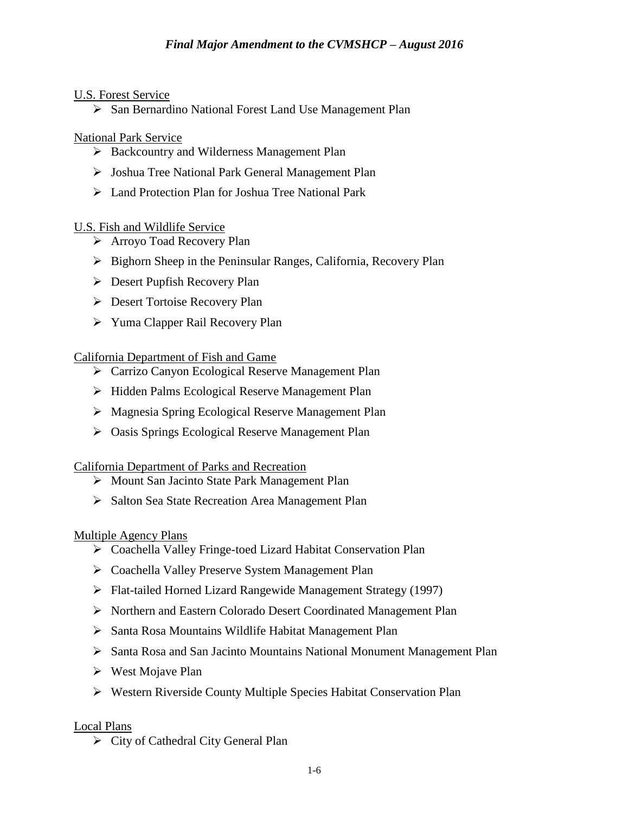### U.S. Forest Service

 $\triangleright$  San Bernardino National Forest Land Use Management Plan

### National Park Service

- ▶ Backcountry and Wilderness Management Plan
- Joshua Tree National Park General Management Plan
- Land Protection Plan for Joshua Tree National Park

### U.S. Fish and Wildlife Service

- Arroyo Toad Recovery Plan
- $\triangleright$  Bighorn Sheep in the Peninsular Ranges, California, Recovery Plan
- $\triangleright$  Desert Pupfish Recovery Plan
- Desert Tortoise Recovery Plan
- Yuma Clapper Rail Recovery Plan

### California Department of Fish and Game

- ▶ Carrizo Canyon Ecological Reserve Management Plan
- ▶ Hidden Palms Ecological Reserve Management Plan
- Magnesia Spring Ecological Reserve Management Plan
- Oasis Springs Ecological Reserve Management Plan

### California Department of Parks and Recreation

- ▶ Mount San Jacinto State Park Management Plan
- $\triangleright$  Salton Sea State Recreation Area Management Plan

### Multiple Agency Plans

- Coachella Valley Fringe-toed Lizard Habitat Conservation Plan
- Coachella Valley Preserve System Management Plan
- Flat-tailed Horned Lizard Rangewide Management Strategy (1997)
- Northern and Eastern Colorado Desert Coordinated Management Plan
- $\triangleright$  Santa Rosa Mountains Wildlife Habitat Management Plan
- Santa Rosa and San Jacinto Mountains National Monument Management Plan
- $\triangleright$  West Mojave Plan
- Western Riverside County Multiple Species Habitat Conservation Plan

### Local Plans

 $\triangleright$  City of Cathedral City General Plan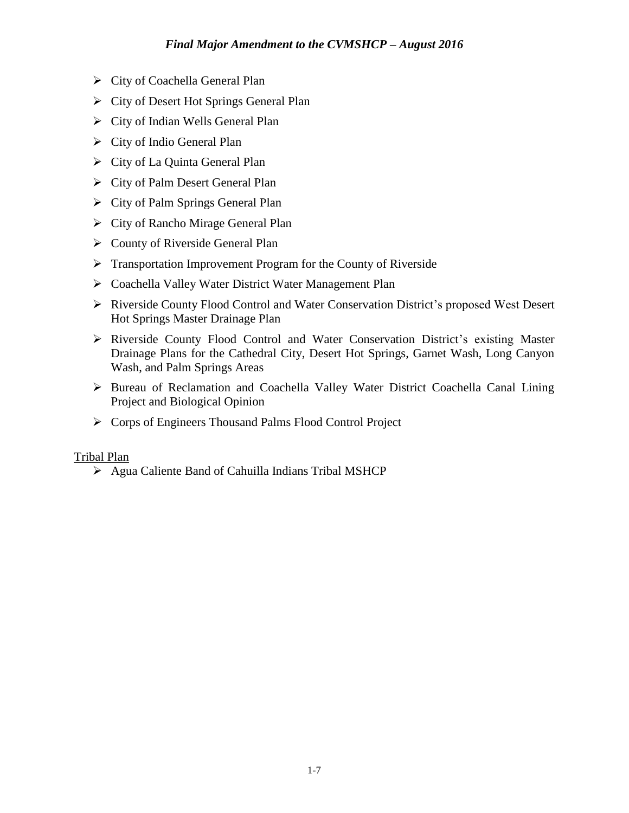- City of Coachella General Plan
- City of Desert Hot Springs General Plan
- $\triangleright$  City of Indian Wells General Plan
- $\triangleright$  City of Indio General Plan
- $\triangleright$  City of La Quinta General Plan
- $\triangleright$  City of Palm Desert General Plan
- $\triangleright$  City of Palm Springs General Plan
- $\triangleright$  City of Rancho Mirage General Plan
- $\triangleright$  County of Riverside General Plan
- $\triangleright$  Transportation Improvement Program for the County of Riverside
- Coachella Valley Water District Water Management Plan
- Riverside County Flood Control and Water Conservation District's proposed West Desert Hot Springs Master Drainage Plan
- Riverside County Flood Control and Water Conservation District's existing Master Drainage Plans for the Cathedral City, Desert Hot Springs, Garnet Wash, Long Canyon Wash, and Palm Springs Areas
- Bureau of Reclamation and Coachella Valley Water District Coachella Canal Lining Project and Biological Opinion
- ▶ Corps of Engineers Thousand Palms Flood Control Project

### Tribal Plan

Agua Caliente Band of Cahuilla Indians Tribal MSHCP